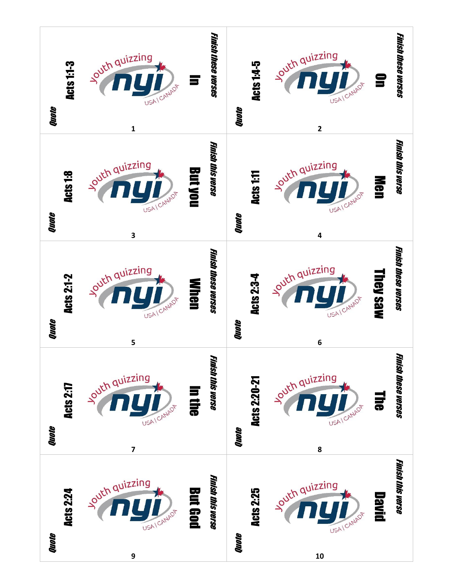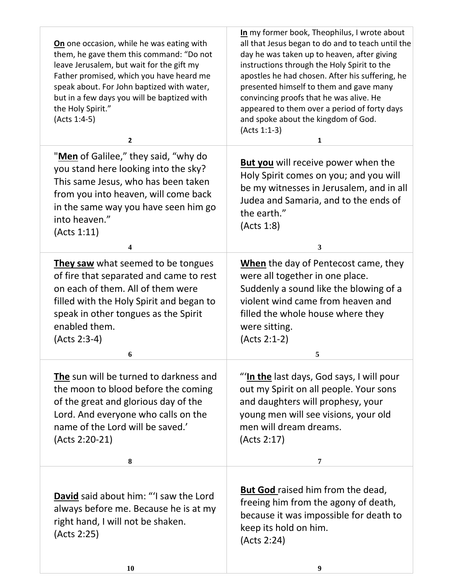| On one occasion, while he was eating with<br>them, he gave them this command: "Do not<br>leave Jerusalem, but wait for the gift my<br>Father promised, which you have heard me<br>speak about. For John baptized with water,<br>but in a few days you will be baptized with<br>the Holy Spirit."<br>(Acts 1:4-5)<br>$\mathbf{2}$ | In my former book, Theophilus, I wrote about<br>all that Jesus began to do and to teach until the<br>day he was taken up to heaven, after giving<br>instructions through the Holy Spirit to the<br>apostles he had chosen. After his suffering, he<br>presented himself to them and gave many<br>convincing proofs that he was alive. He<br>appeared to them over a period of forty days<br>and spoke about the kingdom of God.<br>(Acts 1:1-3)<br>1 |
|----------------------------------------------------------------------------------------------------------------------------------------------------------------------------------------------------------------------------------------------------------------------------------------------------------------------------------|------------------------------------------------------------------------------------------------------------------------------------------------------------------------------------------------------------------------------------------------------------------------------------------------------------------------------------------------------------------------------------------------------------------------------------------------------|
| "Men of Galilee," they said, "why do<br>you stand here looking into the sky?<br>This same Jesus, who has been taken<br>from you into heaven, will come back<br>in the same way you have seen him go<br>into heaven."<br>(Acts 1:11)<br>4                                                                                         | <b>But you</b> will receive power when the<br>Holy Spirit comes on you; and you will<br>be my witnesses in Jerusalem, and in all<br>Judea and Samaria, and to the ends of<br>the earth."<br>(Acts 1:8)<br>3                                                                                                                                                                                                                                          |
| They saw what seemed to be tongues<br>of fire that separated and came to rest<br>on each of them. All of them were<br>filled with the Holy Spirit and began to<br>speak in other tongues as the Spirit<br>enabled them.<br>(Acts 2:3-4)<br>6                                                                                     | When the day of Pentecost came, they<br>were all together in one place.<br>Suddenly a sound like the blowing of a<br>violent wind came from heaven and<br>filled the whole house where they<br>were sitting.<br>(Acts 2:1-2)<br>5                                                                                                                                                                                                                    |
| The sun will be turned to darkness and<br>the moon to blood before the coming<br>of the great and glorious day of the<br>Lord. And everyone who calls on the<br>name of the Lord will be saved.'<br>(Acts 2:20-21)<br>8                                                                                                          | "In the last days, God says, I will pour<br>out my Spirit on all people. Your sons<br>and daughters will prophesy, your<br>young men will see visions, your old<br>men will dream dreams.<br>(Acts 2:17)<br>7                                                                                                                                                                                                                                        |
|                                                                                                                                                                                                                                                                                                                                  |                                                                                                                                                                                                                                                                                                                                                                                                                                                      |
| David said about him: "I saw the Lord<br>always before me. Because he is at my<br>right hand, I will not be shaken.<br>(Acts 2:25)                                                                                                                                                                                               | But God raised him from the dead,<br>freeing him from the agony of death,<br>because it was impossible for death to<br>keep its hold on him.<br>(Acts 2:24)                                                                                                                                                                                                                                                                                          |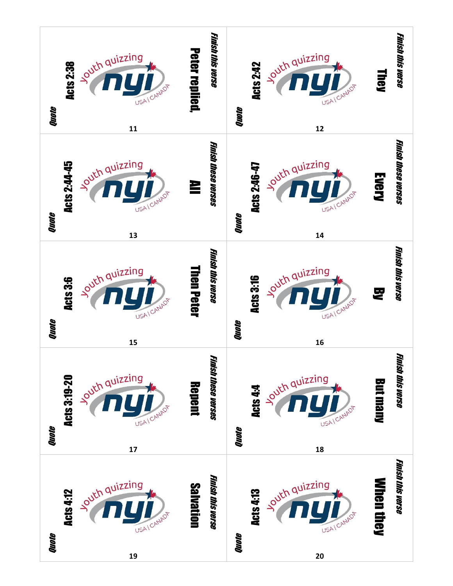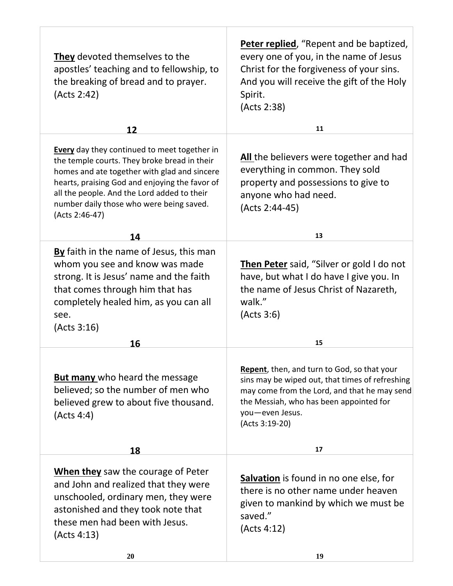| They devoted themselves to the<br>apostles' teaching and to fellowship, to<br>the breaking of bread and to prayer.<br>(Acts 2:42)                                                                                                                                                                                  | <b>Peter replied</b> , "Repent and be baptized,<br>every one of you, in the name of Jesus<br>Christ for the forgiveness of your sins.<br>And you will receive the gift of the Holy<br>Spirit.<br>(Acts 2:38)                   |
|--------------------------------------------------------------------------------------------------------------------------------------------------------------------------------------------------------------------------------------------------------------------------------------------------------------------|--------------------------------------------------------------------------------------------------------------------------------------------------------------------------------------------------------------------------------|
| 12                                                                                                                                                                                                                                                                                                                 | 11                                                                                                                                                                                                                             |
| <b>Every</b> day they continued to meet together in<br>the temple courts. They broke bread in their<br>homes and ate together with glad and sincere<br>hearts, praising God and enjoying the favor of<br>all the people. And the Lord added to their<br>number daily those who were being saved.<br>(Acts 2:46-47) | All the believers were together and had<br>everything in common. They sold<br>property and possessions to give to<br>anyone who had need.<br>(Acts 2:44-45)                                                                    |
| 14                                                                                                                                                                                                                                                                                                                 | 13                                                                                                                                                                                                                             |
| By faith in the name of Jesus, this man<br>whom you see and know was made<br>strong. It is Jesus' name and the faith<br>that comes through him that has<br>completely healed him, as you can all<br>see.<br>(Acts 3:16)                                                                                            | Then Peter said, "Silver or gold I do not<br>have, but what I do have I give you. In<br>the name of Jesus Christ of Nazareth,<br>walk."<br>(Acts 3:6)                                                                          |
| 16                                                                                                                                                                                                                                                                                                                 | 15                                                                                                                                                                                                                             |
| <b>But many</b> who heard the message<br>believed; so the number of men who<br>believed grew to about five thousand.<br>(Acts 4:4)                                                                                                                                                                                 | Repent, then, and turn to God, so that your<br>sins may be wiped out, that times of refreshing<br>may come from the Lord, and that he may send<br>the Messiah, who has been appointed for<br>you-even Jesus.<br>(Acts 3:19-20) |
| 18                                                                                                                                                                                                                                                                                                                 | 17                                                                                                                                                                                                                             |
| When they saw the courage of Peter<br>and John and realized that they were<br>unschooled, ordinary men, they were<br>astonished and they took note that<br>these men had been with Jesus.<br>(Acts 4:13)                                                                                                           | Salvation is found in no one else, for<br>there is no other name under heaven<br>given to mankind by which we must be<br>saved."<br>(Acts 4:12)                                                                                |

**20 19**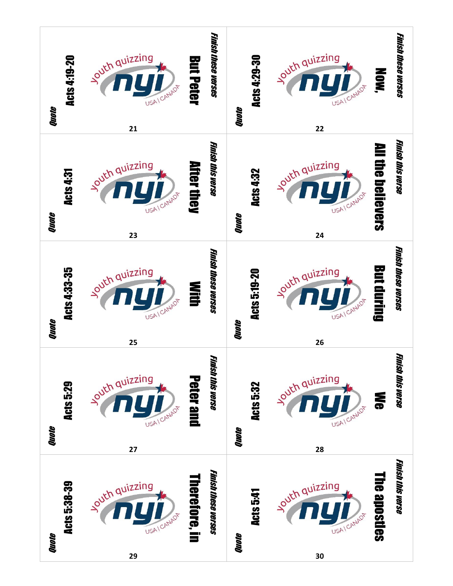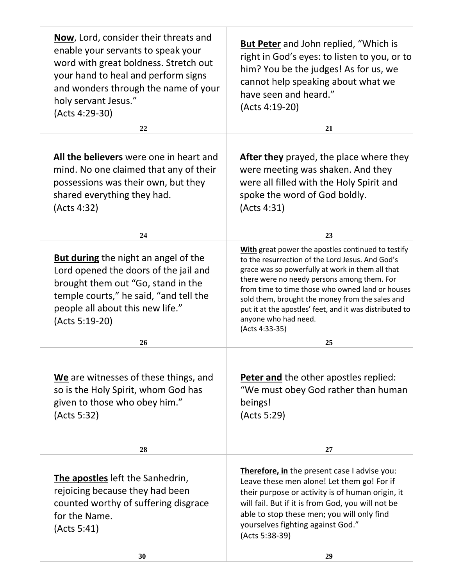| Now, Lord, consider their threats and<br>enable your servants to speak your<br>word with great boldness. Stretch out<br>your hand to heal and perform signs<br>and wonders through the name of your<br>holy servant Jesus."<br>(Acts 4:29-30) | <b>But Peter</b> and John replied, "Which is<br>right in God's eyes: to listen to you, or to<br>him? You be the judges! As for us, we<br>cannot help speaking about what we<br>have seen and heard."<br>(Acts 4:19-20)                                                                                                                                                                                                |
|-----------------------------------------------------------------------------------------------------------------------------------------------------------------------------------------------------------------------------------------------|-----------------------------------------------------------------------------------------------------------------------------------------------------------------------------------------------------------------------------------------------------------------------------------------------------------------------------------------------------------------------------------------------------------------------|
| 22                                                                                                                                                                                                                                            | 21                                                                                                                                                                                                                                                                                                                                                                                                                    |
| <b>All the believers</b> were one in heart and<br>mind. No one claimed that any of their<br>possessions was their own, but they<br>shared everything they had.<br>(Acts 4:32)                                                                 | <b>After they</b> prayed, the place where they<br>were meeting was shaken. And they<br>were all filled with the Holy Spirit and<br>spoke the word of God boldly.<br>(Acts 4:31)                                                                                                                                                                                                                                       |
| 24                                                                                                                                                                                                                                            | 23                                                                                                                                                                                                                                                                                                                                                                                                                    |
| <b>But during</b> the night an angel of the<br>Lord opened the doors of the jail and<br>brought them out "Go, stand in the<br>temple courts," he said, "and tell the<br>people all about this new life."<br>(Acts 5:19-20)                    | With great power the apostles continued to testify<br>to the resurrection of the Lord Jesus. And God's<br>grace was so powerfully at work in them all that<br>there were no needy persons among them. For<br>from time to time those who owned land or houses<br>sold them, brought the money from the sales and<br>put it at the apostles' feet, and it was distributed to<br>anyone who had need.<br>(Acts 4:33-35) |
| 26                                                                                                                                                                                                                                            | 25                                                                                                                                                                                                                                                                                                                                                                                                                    |
| We are witnesses of these things, and<br>so is the Holy Spirit, whom God has<br>given to those who obey him."<br>(Acts 5:32)                                                                                                                  | <b>Peter and the other apostles replied:</b><br>"We must obey God rather than human<br>beings!<br>(Acts 5:29)                                                                                                                                                                                                                                                                                                         |
| 28                                                                                                                                                                                                                                            | 27                                                                                                                                                                                                                                                                                                                                                                                                                    |
| The apostles left the Sanhedrin,<br>rejoicing because they had been<br>counted worthy of suffering disgrace<br>for the Name.<br>(Acts 5:41)<br>30                                                                                             | Therefore, in the present case I advise you:<br>Leave these men alone! Let them go! For if<br>their purpose or activity is of human origin, it<br>will fail. But if it is from God, you will not be<br>able to stop these men; you will only find<br>yourselves fighting against God."<br>(Acts 5:38-39)<br>29                                                                                                        |
|                                                                                                                                                                                                                                               |                                                                                                                                                                                                                                                                                                                                                                                                                       |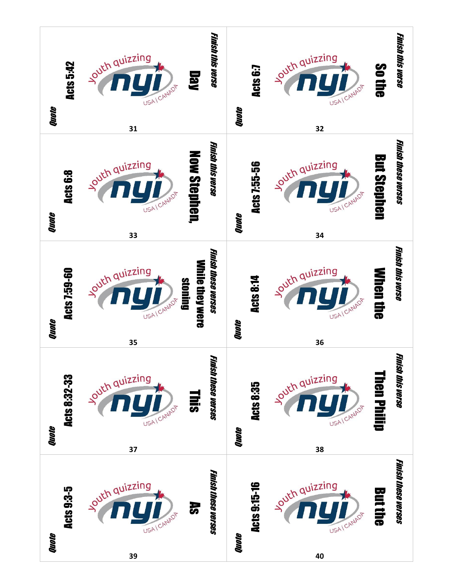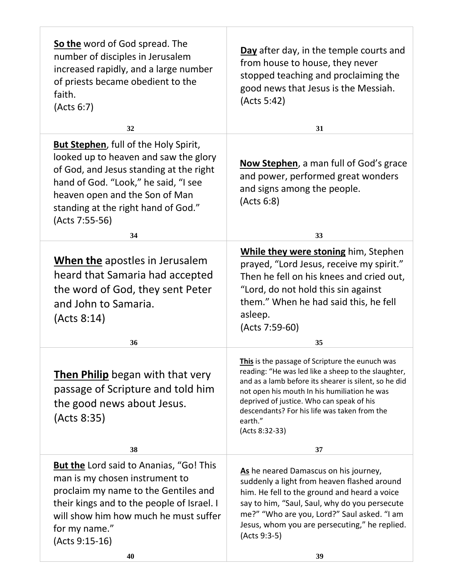| So the word of God spread. The<br>number of disciples in Jerusalem<br>increased rapidly, and a large number<br>of priests became obedient to the<br>faith.<br>(Acts 6:7)                                                                                             | Day after day, in the temple courts and<br>from house to house, they never<br>stopped teaching and proclaiming the<br>good news that Jesus is the Messiah.<br>(Acts 5:42)                                                                                                                                                                 |
|----------------------------------------------------------------------------------------------------------------------------------------------------------------------------------------------------------------------------------------------------------------------|-------------------------------------------------------------------------------------------------------------------------------------------------------------------------------------------------------------------------------------------------------------------------------------------------------------------------------------------|
| 32                                                                                                                                                                                                                                                                   | 31                                                                                                                                                                                                                                                                                                                                        |
| <b>But Stephen</b> , full of the Holy Spirit,<br>looked up to heaven and saw the glory<br>of God, and Jesus standing at the right<br>hand of God. "Look," he said, "I see<br>heaven open and the Son of Man<br>standing at the right hand of God."<br>(Acts 7:55-56) | <b>Now Stephen</b> , a man full of God's grace<br>and power, performed great wonders<br>and signs among the people.<br>(Acts 6:8)                                                                                                                                                                                                         |
| 34                                                                                                                                                                                                                                                                   | 33                                                                                                                                                                                                                                                                                                                                        |
| <b>When the apostles in Jerusalem</b><br>heard that Samaria had accepted<br>the word of God, they sent Peter<br>and John to Samaria.<br>(Acts 8:14)<br>36                                                                                                            | While they were stoning him, Stephen<br>prayed, "Lord Jesus, receive my spirit."<br>Then he fell on his knees and cried out,<br>"Lord, do not hold this sin against<br>them." When he had said this, he fell<br>asleep.<br>(Acts 7:59-60)<br>35                                                                                           |
|                                                                                                                                                                                                                                                                      |                                                                                                                                                                                                                                                                                                                                           |
| <b>Then Philip</b> began with that very<br>passage of Scripture and told him<br>the good news about Jesus.<br>(Acts 8:35)                                                                                                                                            | This is the passage of Scripture the eunuch was<br>reading: "He was led like a sheep to the slaughter,<br>and as a lamb before its shearer is silent, so he did<br>not open his mouth In his humiliation he was<br>deprived of justice. Who can speak of his<br>descendants? For his life was taken from the<br>earth."<br>(Acts 8:32-33) |
| 38                                                                                                                                                                                                                                                                   | 37                                                                                                                                                                                                                                                                                                                                        |
| <b>But the Lord said to Ananias, "Go! This</b><br>man is my chosen instrument to<br>proclaim my name to the Gentiles and<br>their kings and to the people of Israel. I<br>will show him how much he must suffer<br>for my name."<br>(Acts 9:15-16)<br>40             | As he neared Damascus on his journey,<br>suddenly a light from heaven flashed around<br>him. He fell to the ground and heard a voice<br>say to him, "Saul, Saul, why do you persecute<br>me?" "Who are you, Lord?" Saul asked. "I am<br>Jesus, whom you are persecuting," he replied.<br>(Acts 9:3-5)<br>39                               |
|                                                                                                                                                                                                                                                                      |                                                                                                                                                                                                                                                                                                                                           |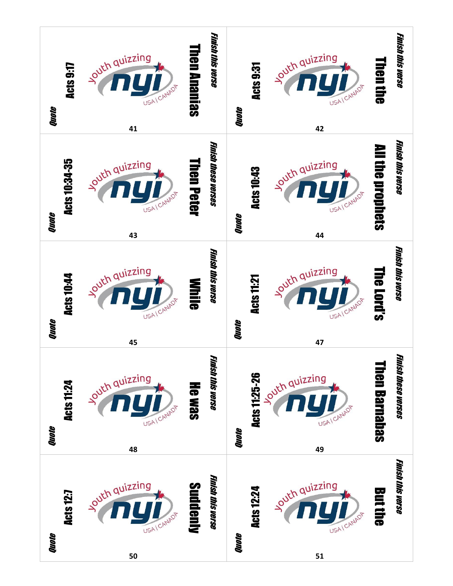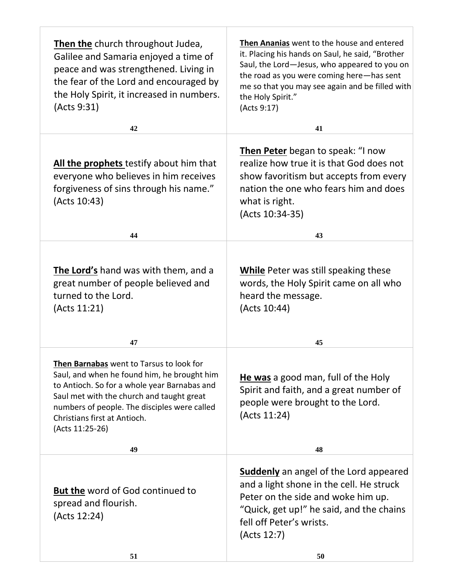| <b>Then the</b> church throughout Judea,<br>Galilee and Samaria enjoyed a time of<br>peace and was strengthened. Living in<br>the fear of the Lord and encouraged by<br>the Holy Spirit, it increased in numbers.<br>(Acts 9:31)                                                        | Then Ananias went to the house and entered<br>it. Placing his hands on Saul, he said, "Brother<br>Saul, the Lord-Jesus, who appeared to you on<br>the road as you were coming here-has sent<br>me so that you may see again and be filled with<br>the Holy Spirit."<br>(Acts 9:17) |
|-----------------------------------------------------------------------------------------------------------------------------------------------------------------------------------------------------------------------------------------------------------------------------------------|------------------------------------------------------------------------------------------------------------------------------------------------------------------------------------------------------------------------------------------------------------------------------------|
| 42                                                                                                                                                                                                                                                                                      | 41                                                                                                                                                                                                                                                                                 |
| All the prophets testify about him that<br>everyone who believes in him receives<br>forgiveness of sins through his name."<br>(Acts 10:43)                                                                                                                                              | <b>Then Peter</b> began to speak: "I now<br>realize how true it is that God does not<br>show favoritism but accepts from every<br>nation the one who fears him and does<br>what is right.<br>(Acts 10:34-35)                                                                       |
| 44                                                                                                                                                                                                                                                                                      | 43                                                                                                                                                                                                                                                                                 |
| The Lord's hand was with them, and a<br>great number of people believed and<br>turned to the Lord.<br>(Acts 11:21)<br>47                                                                                                                                                                | <b>While</b> Peter was still speaking these<br>words, the Holy Spirit came on all who<br>heard the message.<br>(Acts 10:44)<br>45                                                                                                                                                  |
|                                                                                                                                                                                                                                                                                         |                                                                                                                                                                                                                                                                                    |
| Then Barnabas went to Tarsus to look for<br>Saul, and when he found him, he brought him<br>to Antioch. So for a whole year Barnabas and<br>Saul met with the church and taught great<br>numbers of people. The disciples were called<br>Christians first at Antioch.<br>(Acts 11:25-26) | He was a good man, full of the Holy<br>Spirit and faith, and a great number of<br>people were brought to the Lord.<br>(Acts 11:24)                                                                                                                                                 |
| 49                                                                                                                                                                                                                                                                                      | 48                                                                                                                                                                                                                                                                                 |
| <b>But the word of God continued to</b><br>spread and flourish.<br>(Acts 12:24)                                                                                                                                                                                                         | <b>Suddenly</b> an angel of the Lord appeared<br>and a light shone in the cell. He struck<br>Peter on the side and woke him up.<br>"Quick, get up!" he said, and the chains<br>fell off Peter's wrists.<br>(Acts 12:7)                                                             |
| 51                                                                                                                                                                                                                                                                                      | 50                                                                                                                                                                                                                                                                                 |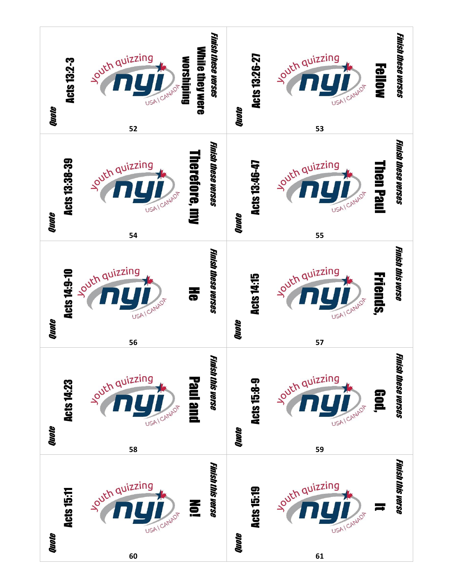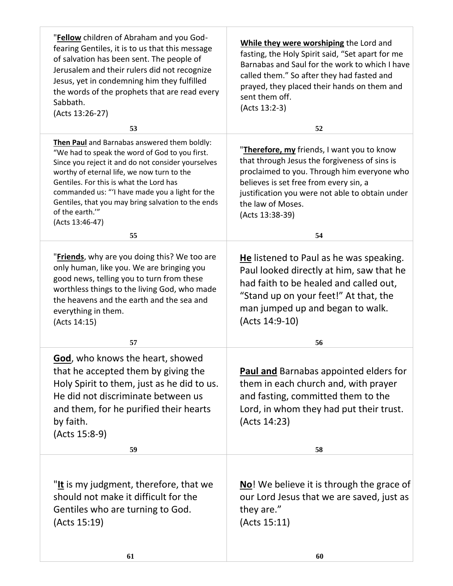| "Fellow children of Abraham and you God-<br>fearing Gentiles, it is to us that this message<br>of salvation has been sent. The people of<br>Jerusalem and their rulers did not recognize<br>Jesus, yet in condemning him they fulfilled<br>the words of the prophets that are read every<br>Sabbath.<br>(Acts 13:26-27)                                                                     | While they were worshiping the Lord and<br>fasting, the Holy Spirit said, "Set apart for me<br>Barnabas and Saul for the work to which I have<br>called them." So after they had fasted and<br>prayed, they placed their hands on them and<br>sent them off.<br>(Acts 13:2-3)   |
|---------------------------------------------------------------------------------------------------------------------------------------------------------------------------------------------------------------------------------------------------------------------------------------------------------------------------------------------------------------------------------------------|---------------------------------------------------------------------------------------------------------------------------------------------------------------------------------------------------------------------------------------------------------------------------------|
| 53                                                                                                                                                                                                                                                                                                                                                                                          | 52                                                                                                                                                                                                                                                                              |
| Then Paul and Barnabas answered them boldly:<br>"We had to speak the word of God to you first.<br>Since you reject it and do not consider yourselves<br>worthy of eternal life, we now turn to the<br>Gentiles. For this is what the Lord has<br>commanded us: "'I have made you a light for the<br>Gentiles, that you may bring salvation to the ends<br>of the earth."<br>(Acts 13:46-47) | "Therefore, my friends, I want you to know<br>that through Jesus the forgiveness of sins is<br>proclaimed to you. Through him everyone who<br>believes is set free from every sin, a<br>justification you were not able to obtain under<br>the law of Moses.<br>(Acts 13:38-39) |
| 55                                                                                                                                                                                                                                                                                                                                                                                          | 54                                                                                                                                                                                                                                                                              |
| "Friends, why are you doing this? We too are<br>only human, like you. We are bringing you<br>good news, telling you to turn from these<br>worthless things to the living God, who made<br>the heavens and the earth and the sea and<br>everything in them.<br>(Acts 14:15)                                                                                                                  | He listened to Paul as he was speaking.<br>Paul looked directly at him, saw that he<br>had faith to be healed and called out,<br>"Stand up on your feet!" At that, the<br>man jumped up and began to walk.<br>(Acts 14:9-10)                                                    |
| 57                                                                                                                                                                                                                                                                                                                                                                                          | 56                                                                                                                                                                                                                                                                              |
| God, who knows the heart, showed<br>that he accepted them by giving the<br>Holy Spirit to them, just as he did to us.<br>He did not discriminate between us<br>and them, for he purified their hearts<br>by faith.<br>(Acts 15:8-9)                                                                                                                                                         | <b>Paul and</b> Barnabas appointed elders for<br>them in each church and, with prayer<br>and fasting, committed them to the<br>Lord, in whom they had put their trust.<br>(Acts 14:23)                                                                                          |
| 59                                                                                                                                                                                                                                                                                                                                                                                          | 58                                                                                                                                                                                                                                                                              |
| "It is my judgment, therefore, that we<br>should not make it difficult for the<br>Gentiles who are turning to God.<br>(Acts 15:19)                                                                                                                                                                                                                                                          | <b>No!</b> We believe it is through the grace of<br>our Lord Jesus that we are saved, just as<br>they are."<br>(Acts 15:11)                                                                                                                                                     |
| 61                                                                                                                                                                                                                                                                                                                                                                                          | 60                                                                                                                                                                                                                                                                              |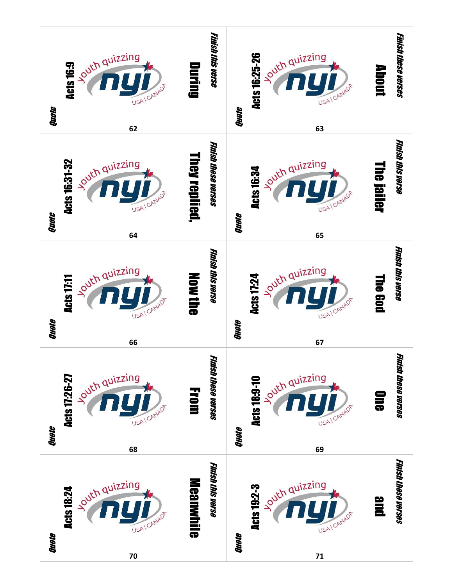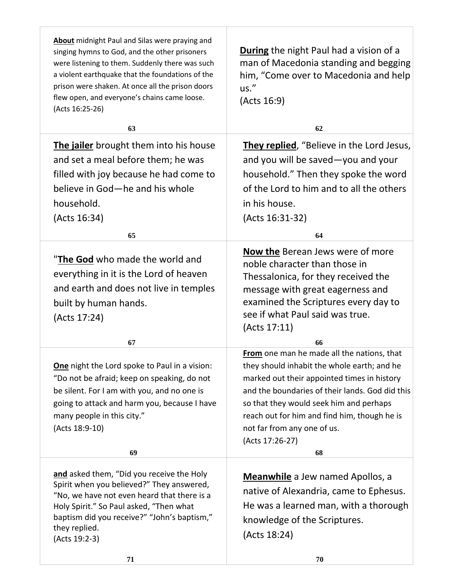| About midnight Paul and Silas were praying and<br>singing hymns to God, and the other prisoners<br>were listening to them. Suddenly there was such<br>a violent earthquake that the foundations of the<br>prison were shaken. At once all the prison doors<br>flew open, and everyone's chains came loose.<br>(Acts 16:25-26) | <b>During</b> the night Paul had a vision of a<br>man of Macedonia standing and begging<br>him, "Come over to Macedonia and help<br>us."<br>(Acts 16:9)                                                                                                                                                                                        |
|-------------------------------------------------------------------------------------------------------------------------------------------------------------------------------------------------------------------------------------------------------------------------------------------------------------------------------|------------------------------------------------------------------------------------------------------------------------------------------------------------------------------------------------------------------------------------------------------------------------------------------------------------------------------------------------|
| 63                                                                                                                                                                                                                                                                                                                            | 62                                                                                                                                                                                                                                                                                                                                             |
| The jailer brought them into his house<br>and set a meal before them; he was<br>filled with joy because he had come to<br>believe in God-he and his whole<br>household.<br>(Acts 16:34)                                                                                                                                       | They replied, "Believe in the Lord Jesus,<br>and you will be saved-you and your<br>household." Then they spoke the word<br>of the Lord to him and to all the others<br>in his house.<br>(Acts 16:31-32)                                                                                                                                        |
| 65                                                                                                                                                                                                                                                                                                                            | 64                                                                                                                                                                                                                                                                                                                                             |
| "The God who made the world and<br>everything in it is the Lord of heaven<br>and earth and does not live in temples<br>built by human hands.<br>(Acts 17:24)                                                                                                                                                                  | <b>Now the Berean Jews were of more</b><br>noble character than those in<br>Thessalonica, for they received the<br>message with great eagerness and<br>examined the Scriptures every day to<br>see if what Paul said was true.<br>(Acts 17:11)                                                                                                 |
| 67                                                                                                                                                                                                                                                                                                                            | 66                                                                                                                                                                                                                                                                                                                                             |
| One night the Lord spoke to Paul in a vision:<br>"Do not be afraid; keep on speaking, do not<br>be silent. For I am with you, and no one is<br>going to attack and harm you, because I have<br>many people in this city."<br>(Acts 18:9-10)<br>69                                                                             | From one man he made all the nations, that<br>they should inhabit the whole earth; and he<br>marked out their appointed times in history<br>and the boundaries of their lands. God did this<br>so that they would seek him and perhaps<br>reach out for him and find him, though he is<br>not far from any one of us.<br>(Acts 17:26-27)<br>68 |
|                                                                                                                                                                                                                                                                                                                               |                                                                                                                                                                                                                                                                                                                                                |
| and asked them, "Did you receive the Holy<br>Spirit when you believed?" They answered,<br>"No, we have not even heard that there is a<br>Holy Spirit." So Paul asked, "Then what<br>baptism did you receive?" "John's baptism,"<br>they replied.<br>(Acts 19:2-3)                                                             | <b>Meanwhile</b> a Jew named Apollos, a<br>native of Alexandria, came to Ephesus.<br>He was a learned man, with a thorough<br>knowledge of the Scriptures.<br>(Acts 18:24)                                                                                                                                                                     |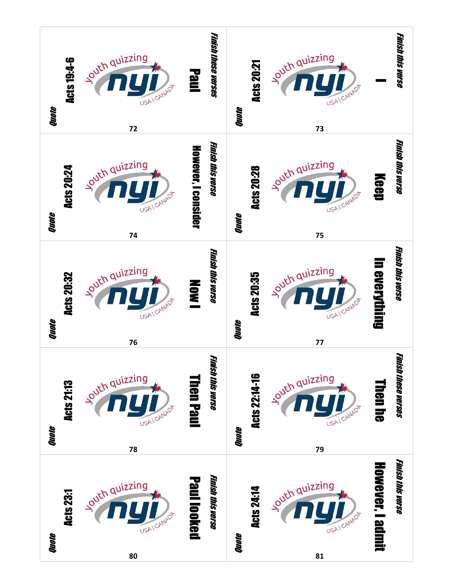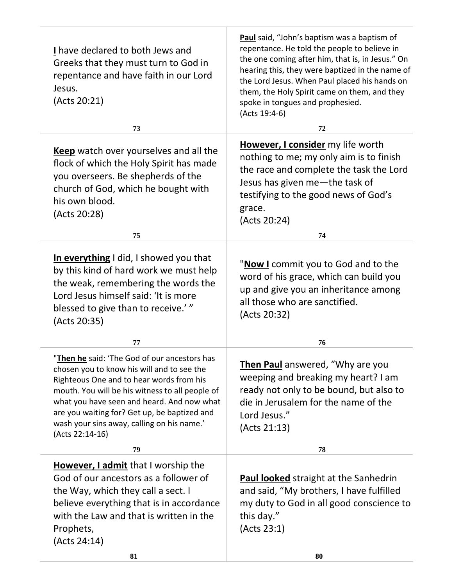| I have declared to both Jews and<br>Greeks that they must turn to God in<br>repentance and have faith in our Lord<br>Jesus.<br>(Acts 20:21)                                                                                                                                                              | Paul said, "John's baptism was a baptism of<br>repentance. He told the people to believe in<br>the one coming after him, that is, in Jesus." On<br>hearing this, they were baptized in the name of<br>the Lord Jesus. When Paul placed his hands on<br>them, the Holy Spirit came on them, and they<br>spoke in tongues and prophesied.<br>(Acts 19:4-6) |
|----------------------------------------------------------------------------------------------------------------------------------------------------------------------------------------------------------------------------------------------------------------------------------------------------------|----------------------------------------------------------------------------------------------------------------------------------------------------------------------------------------------------------------------------------------------------------------------------------------------------------------------------------------------------------|
| 73                                                                                                                                                                                                                                                                                                       | 72                                                                                                                                                                                                                                                                                                                                                       |
| Keep watch over yourselves and all the<br>flock of which the Holy Spirit has made<br>you overseers. Be shepherds of the<br>church of God, which he bought with<br>his own blood.<br>(Acts 20:28)<br>75                                                                                                   | However, I consider my life worth<br>nothing to me; my only aim is to finish<br>the race and complete the task the Lord<br>Jesus has given me-the task of<br>testifying to the good news of God's<br>grace.<br>(Acts 20:24)<br>74                                                                                                                        |
|                                                                                                                                                                                                                                                                                                          |                                                                                                                                                                                                                                                                                                                                                          |
| In everything I did, I showed you that<br>by this kind of hard work we must help<br>the weak, remembering the words the<br>Lord Jesus himself said: 'It is more<br>blessed to give than to receive.'"<br>(Acts 20:35)<br>77                                                                              | "Now I commit you to God and to the<br>word of his grace, which can build you<br>up and give you an inheritance among<br>all those who are sanctified.<br>(Acts 20:32)<br>76                                                                                                                                                                             |
| "Then he said: 'The God of our ancestors has                                                                                                                                                                                                                                                             |                                                                                                                                                                                                                                                                                                                                                          |
| chosen you to know his will and to see the<br>Righteous One and to hear words from his<br>mouth. You will be his witness to all people of<br>what you have seen and heard. And now what<br>are you waiting for? Get up, be baptized and<br>wash your sins away, calling on his name.'<br>(Acts 22:14-16) | Then Paul answered, "Why are you<br>weeping and breaking my heart? I am<br>ready not only to be bound, but also to<br>die in Jerusalem for the name of the<br>Lord Jesus."<br>(Acts 21:13)                                                                                                                                                               |
| 79                                                                                                                                                                                                                                                                                                       | 78                                                                                                                                                                                                                                                                                                                                                       |
| However, I admit that I worship the<br>God of our ancestors as a follower of<br>the Way, which they call a sect. I<br>believe everything that is in accordance<br>with the Law and that is written in the<br>Prophets,<br>(Acts 24:14)                                                                   | <b>Paul looked</b> straight at the Sanhedrin<br>and said, "My brothers, I have fulfilled<br>my duty to God in all good conscience to<br>this day."<br>(Acts 23:1)                                                                                                                                                                                        |
| 81                                                                                                                                                                                                                                                                                                       | 80                                                                                                                                                                                                                                                                                                                                                       |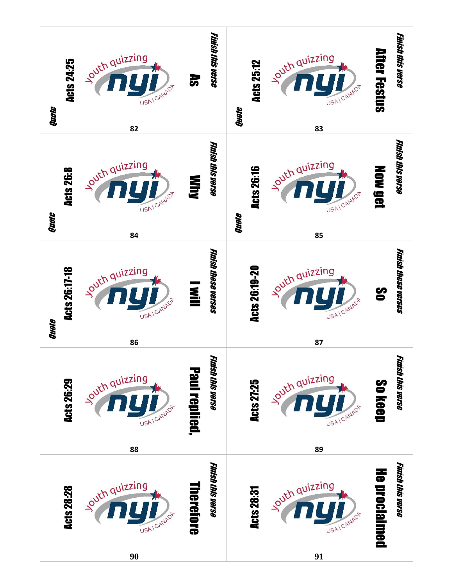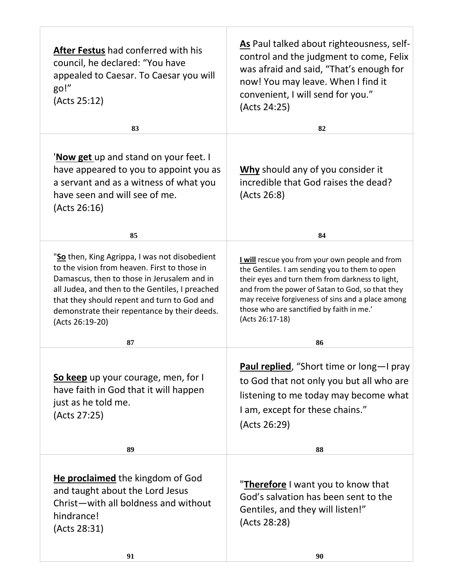| After Festus had conferred with his<br>council, he declared: "You have<br>appealed to Caesar. To Caesar you will<br>go!"<br>(Acts 25:12)<br>83                                                                                                                                                                    | As Paul talked about righteousness, self-<br>control and the judgment to come, Felix<br>was afraid and said, "That's enough for<br>now! You may leave. When I find it<br>convenient, I will send for you."<br>(Acts 24:25)<br>82                                                                                               |
|-------------------------------------------------------------------------------------------------------------------------------------------------------------------------------------------------------------------------------------------------------------------------------------------------------------------|--------------------------------------------------------------------------------------------------------------------------------------------------------------------------------------------------------------------------------------------------------------------------------------------------------------------------------|
|                                                                                                                                                                                                                                                                                                                   |                                                                                                                                                                                                                                                                                                                                |
| ' <b>Now get</b> up and stand on your feet. I<br>have appeared to you to appoint you as<br>a servant and as a witness of what you<br>have seen and will see of me.<br>(Acts 26:16)                                                                                                                                | Why should any of you consider it<br>incredible that God raises the dead?<br>(Acts 26:8)                                                                                                                                                                                                                                       |
| 85                                                                                                                                                                                                                                                                                                                | 84                                                                                                                                                                                                                                                                                                                             |
| "So then, King Agrippa, I was not disobedient<br>to the vision from heaven. First to those in<br>Damascus, then to those in Jerusalem and in<br>all Judea, and then to the Gentiles, I preached<br>that they should repent and turn to God and<br>demonstrate their repentance by their deeds.<br>(Acts 26:19-20) | I will rescue you from your own people and from<br>the Gentiles. I am sending you to them to open<br>their eyes and turn them from darkness to light,<br>and from the power of Satan to God, so that they<br>may receive forgiveness of sins and a place among<br>those who are sanctified by faith in me.'<br>(Acts 26:17-18) |
| 87                                                                                                                                                                                                                                                                                                                | 86                                                                                                                                                                                                                                                                                                                             |
| So keep up your courage, men, for I<br>have faith in God that it will happen<br>just as he told me.<br>(Acts 27:25)                                                                                                                                                                                               | Paul replied, "Short time or long-I pray<br>to God that not only you but all who are<br>listening to me today may become what<br>I am, except for these chains."<br>(Acts 26:29)                                                                                                                                               |
| 89                                                                                                                                                                                                                                                                                                                | 88                                                                                                                                                                                                                                                                                                                             |
| He proclaimed the kingdom of God<br>and taught about the Lord Jesus<br>Christ-with all boldness and without<br>hindrance!<br>(Acts 28:31)                                                                                                                                                                         | " <b>Therefore</b> I want you to know that<br>God's salvation has been sent to the<br>Gentiles, and they will listen!"<br>(Acts 28:28)                                                                                                                                                                                         |
| 91                                                                                                                                                                                                                                                                                                                | 90                                                                                                                                                                                                                                                                                                                             |

T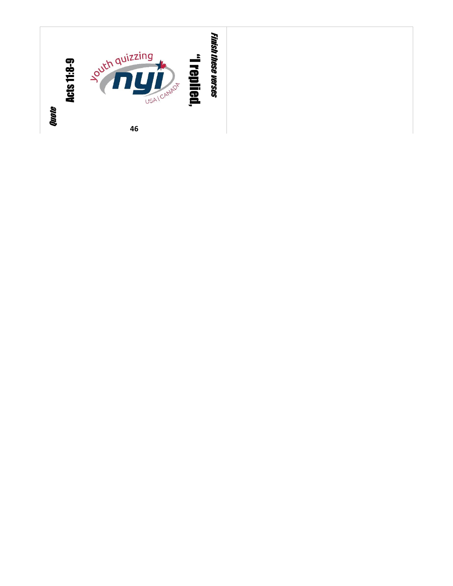